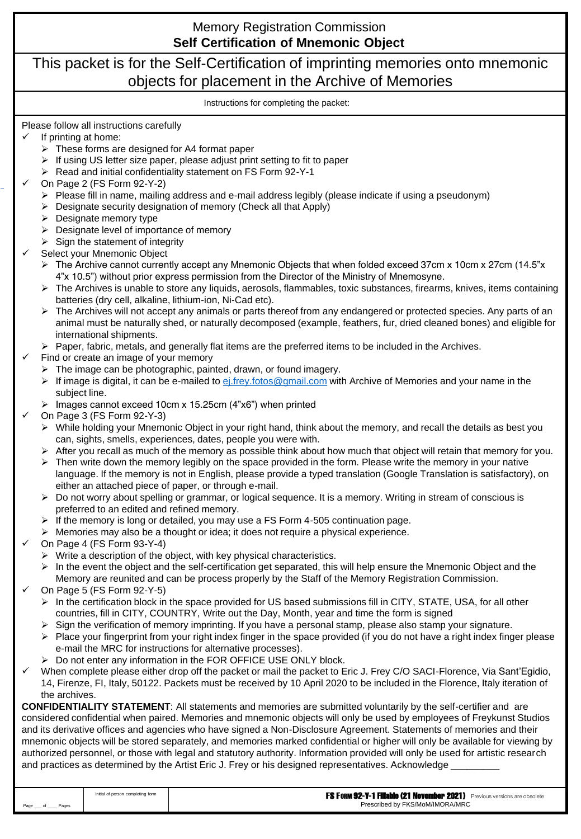#### Please follow all instructions carefully If printing at home: ➢ These forms are designed for A4 format paper ➢ If using US letter size paper, please adjust print setting to fit to paper ➢ Read and initial confidentiality statement on FS Form 92-Y-1 ✓ On Page 2 (FS Form 92-Y-2)  $\triangleright$  Please fill in name, mailing address and e-mail address legibly (please indicate if using a pseudonym) ➢ Designate security designation of memory (Check all that Apply)  $\triangleright$  Designate memory type ➢ Designate level of importance of memory  $\triangleright$  Sign the statement of integrity Select your Mnemonic Object  $\triangleright$  The Archive cannot currently accept any Mnemonic Objects that when folded exceed 37cm x 10cm x 27cm (14.5"x 4"x 10.5") without prior express permission from the Director of the Ministry of Mnemosyne.  $\triangleright$  The Archives is unable to store any liquids, aerosols, flammables, toxic substances, firearms, knives, items containing batteries (dry cell, alkaline, lithium-ion, Ni-Cad etc).  $\triangleright$  The Archives will not accept any animals or parts thereof from any endangered or protected species. Any parts of an animal must be naturally shed, or naturally decomposed (example, feathers, fur, dried cleaned bones) and eligible for international shipments.  $\triangleright$  Paper, fabric, metals, and generally flat items are the preferred items to be included in the Archives. Find or create an image of your memory  $\triangleright$  The image can be photographic, painted, drawn, or found imagery.  $\triangleright$  If image is digital, it can be e-mailed to  $ej$ . frey. fotos@gmail.com with Archive of Memories and your name in the subject line. ➢ Images cannot exceed 10cm x 15.25cm (4"x6") when printed ✓ On Page 3 (FS Form 92-Y-3) ➢ While holding your Mnemonic Object in your right hand, think about the memory, and recall the details as best you can, sights, smells, experiences, dates, people you were with.  $\triangleright$  After you recall as much of the memory as possible think about how much that object will retain that memory for you.  $\triangleright$  Then write down the memory legibly on the space provided in the form. Please write the memory in your native language. If the memory is not in English, please provide a typed translation (Google Translation is satisfactory), on either an attached piece of paper, or through e-mail. ➢ Do not worry about spelling or grammar, or logical sequence. It is a memory. Writing in stream of conscious is preferred to an edited and refined memory.  $\triangleright$  If the memory is long or detailed, you may use a FS Form 4-505 continuation page. ➢ Memories may also be a thought or idea; it does not require a physical experience. ✓ On Page 4 (FS Form 93-Y-4) ➢ Write a description of the object, with key physical characteristics.  $\triangleright$  In the event the object and the self-certification get separated, this will help ensure the Mnemonic Object and the Memory are reunited and can be process properly by the Staff of the Memory Registration Commission. ✓ On Page 5 (FS Form 92-Y-5)  $\triangleright$  In the certification block in the space provided for US based submissions fill in CITY, STATE, USA, for all other countries, fill in CITY, COUNTRY, Write out the Day, Month, year and time the form is signed ➢ Sign the verification of memory imprinting. If you have a personal stamp, please also stamp your signature.  $\triangleright$  Place your fingerprint from your right index finger in the space provided (if you do not have a right index finger please e-mail the MRC for instructions for alternative processes). ➢ Do not enter any information in the FOR OFFICE USE ONLY block. When complete please either drop off the packet or mail the packet to Eric J. Frey C/O SACI-Florence, Via Sant'Egidio, 14, Firenze, FI, Italy, 50122. Packets must be received by 10 April 2020 to be included in the Florence, Italy iteration of the archives. **CONFIDENTIALITY STATEMENT**: All statements and memories are submitted voluntarily by the self-certifier and are considered confidential when paired. Memories and mnemonic objects will only be used by employees of Freykunst Studios and its derivative offices and agencies who have signed a Non-Disclosure Agreement. Statements of memories and their mnemonic objects will be stored separately, and memories marked confidential or higher will only be available for viewing by authorized personnel, or those with legal and statutory authority. Information provided will only be used for artistic research and practices as determined by the Artist Eric J. Frey or his designed representatives. Acknowledge \_ Memory Registration Commission This packet is for the Self-Certification of imprinting memories onto mnemonic objects for placement in the Archive of Memories Instructions for completing the packet: **Self Certification of Mnemonic Object**

|         | Initial of person completing form | <b>FS FORM 92-Y-1 Filiable (21 November 2021)</b> Previous versions are obsolete |
|---------|-----------------------------------|----------------------------------------------------------------------------------|
| Page of |                                   | Prescribed by FKS/MoM/IMORA/MRC                                                  |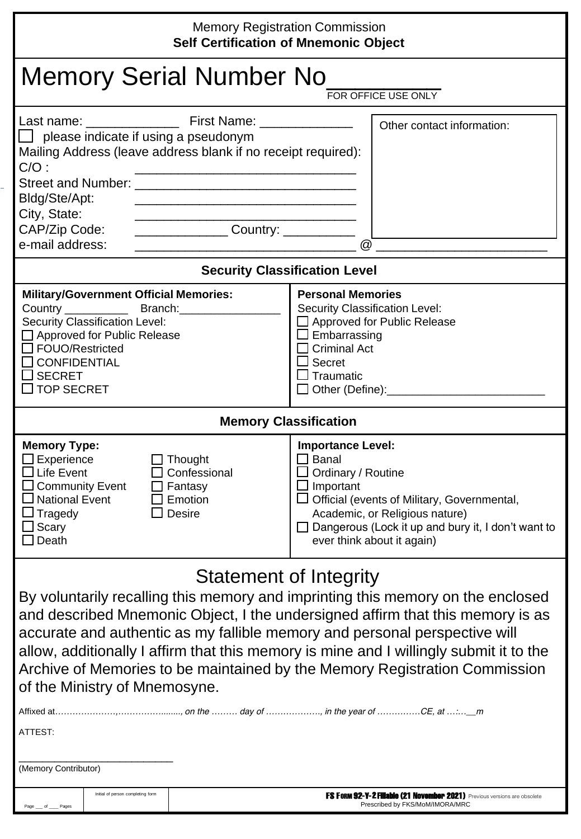# Memory Registration Commission

| <b>Self Certification of Mnemonic Object</b>                                                                                                                                                                                                  |                                                                                                                                                                                                                                                                                                                                                                  |                                                                                                                                                                                                                                                                     |                                                                                                                                                                                                                                                                                                                                                                                                                         |  |  |  |
|-----------------------------------------------------------------------------------------------------------------------------------------------------------------------------------------------------------------------------------------------|------------------------------------------------------------------------------------------------------------------------------------------------------------------------------------------------------------------------------------------------------------------------------------------------------------------------------------------------------------------|---------------------------------------------------------------------------------------------------------------------------------------------------------------------------------------------------------------------------------------------------------------------|-------------------------------------------------------------------------------------------------------------------------------------------------------------------------------------------------------------------------------------------------------------------------------------------------------------------------------------------------------------------------------------------------------------------------|--|--|--|
| Memory Serial Number No<br>FOR OFFICE USE ONLY                                                                                                                                                                                                |                                                                                                                                                                                                                                                                                                                                                                  |                                                                                                                                                                                                                                                                     |                                                                                                                                                                                                                                                                                                                                                                                                                         |  |  |  |
| $\Box$ please indicate if using a pseudonym<br>Mailing Address (leave address blank if no receipt required):<br>$C/O$ :<br>Bldg/Ste/Apt:<br>City, State:<br>CAP/Zip Code:<br>e-mail address:                                                  | <u> 1980 - Johann John Stone, mars eta biztanleria (h. 1980).</u><br><u> 1989 - Johann John Stone, mars eta bat eta bat eta bat eta bat ez arteko hamarkada eta bat ez arteko hamarka</u><br><u> 1989 - Johann John Stone, markin film yn y brening yn y brening yn y brening yn y brening yn y brening y bre</u><br>_____________________Country: _____________ | $\omega$                                                                                                                                                                                                                                                            | Other contact information:                                                                                                                                                                                                                                                                                                                                                                                              |  |  |  |
|                                                                                                                                                                                                                                               | <b>Security Classification Level</b>                                                                                                                                                                                                                                                                                                                             |                                                                                                                                                                                                                                                                     |                                                                                                                                                                                                                                                                                                                                                                                                                         |  |  |  |
| <b>Military/Government Official Memories:</b><br>Country $\frac{\phantom{1}}{2}$<br>Security Classification Level:<br>□ Approved for Public Release<br>$\Box$ FOUO/Restricted<br><b>CONFIDENTIAL</b><br>$\Box$ SECRET<br>$\square$ TOP SECRET | Branch:                                                                                                                                                                                                                                                                                                                                                          | <b>Personal Memories</b><br>Security Classification Level:<br>$\Box$ Approved for Public Release<br>$\Box$ Embarrassing<br>$\Box$ Criminal Act<br>$\square$ Secret<br>$\Box$ Traumatic<br>□ Other (Define):__________________________                               |                                                                                                                                                                                                                                                                                                                                                                                                                         |  |  |  |
|                                                                                                                                                                                                                                               | <b>Memory Classification</b>                                                                                                                                                                                                                                                                                                                                     |                                                                                                                                                                                                                                                                     |                                                                                                                                                                                                                                                                                                                                                                                                                         |  |  |  |
| <b>Memory Type:</b><br>$\Box$ Experience<br>$\Box$ Life Event<br>$\Box$ Community Event<br>$\Box$ National Event<br>$\square$ Tragedy<br>$\square$ Scary<br>Death                                                                             | $\Box$ Thought<br>$\Box$ Confessional<br>$\Box$ Fantasy<br>$\Box$ Emotion<br>$\square$ Desire                                                                                                                                                                                                                                                                    | <b>Importance Level:</b><br>$\square$ Banal<br>$\Box$ Ordinary / Routine<br>$\Box$ Important<br>□ Official (events of Military, Governmental,<br>Academic, or Religious nature)<br>Dangerous (Lock it up and bury it, I don't want to<br>ever think about it again) |                                                                                                                                                                                                                                                                                                                                                                                                                         |  |  |  |
|                                                                                                                                                                                                                                               | Statement of Integrity                                                                                                                                                                                                                                                                                                                                           |                                                                                                                                                                                                                                                                     |                                                                                                                                                                                                                                                                                                                                                                                                                         |  |  |  |
| of the Ministry of Mnemosyne.                                                                                                                                                                                                                 |                                                                                                                                                                                                                                                                                                                                                                  |                                                                                                                                                                                                                                                                     | By voluntarily recalling this memory and imprinting this memory on the enclosed<br>and described Mnemonic Object, I the undersigned affirm that this memory is as<br>accurate and authentic as my fallible memory and personal perspective will<br>allow, additionally I affirm that this memory is mine and I willingly submit it to the<br>Archive of Memories to be maintained by the Memory Registration Commission |  |  |  |
| ATTEST:                                                                                                                                                                                                                                       |                                                                                                                                                                                                                                                                                                                                                                  |                                                                                                                                                                                                                                                                     |                                                                                                                                                                                                                                                                                                                                                                                                                         |  |  |  |
| (Memory Contributor)<br>Initial of person completing form                                                                                                                                                                                     |                                                                                                                                                                                                                                                                                                                                                                  |                                                                                                                                                                                                                                                                     | <b>FS FORM 92-Y-2 Filiable (21 November 2021)</b> Previous versions are obsolete                                                                                                                                                                                                                                                                                                                                        |  |  |  |
| Page<br>of<br>Pages                                                                                                                                                                                                                           |                                                                                                                                                                                                                                                                                                                                                                  |                                                                                                                                                                                                                                                                     | Prescribed by FKS/MoM/IMORA/MRC                                                                                                                                                                                                                                                                                                                                                                                         |  |  |  |

| <b>It'S FORM UZ-Y-Z FINADIO (21 NOVEMBER ZUZ1)</b> Previous versions are ob |  |
|-----------------------------------------------------------------------------|--|
| Prescribed by FKS/MoM/IMORA/MRC                                             |  |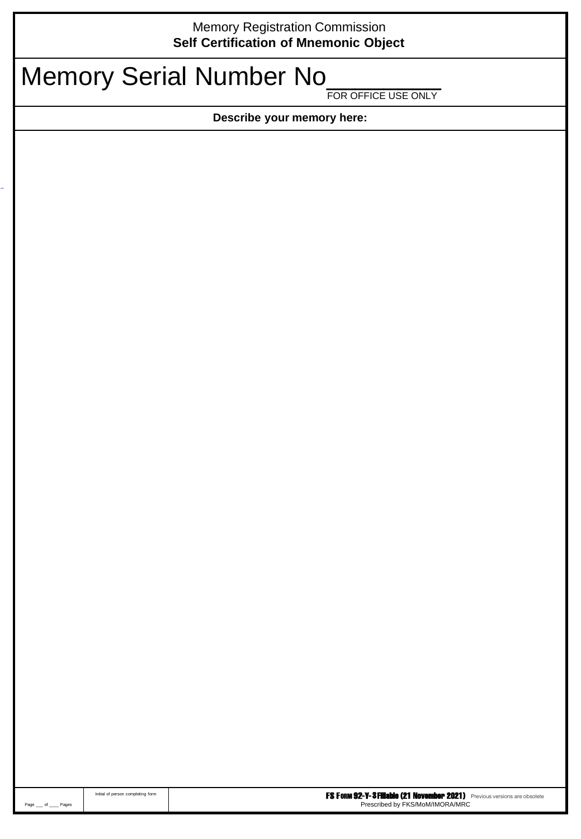## Memory Registration Commission **Self Certification of Mnemonic Object**

# Memory Serial Number No

FOR OFFICE USE ONLY

**Describe your memory here:**

|               | Initial of person completing form | <b>FS FORM 92-Y-3 Fillable (21 November 2021)</b> Previous versions are obsolete |
|---------------|-----------------------------------|----------------------------------------------------------------------------------|
| Page of Pages |                                   | Prescribed by FKS/MoM/IMORA/MRC                                                  |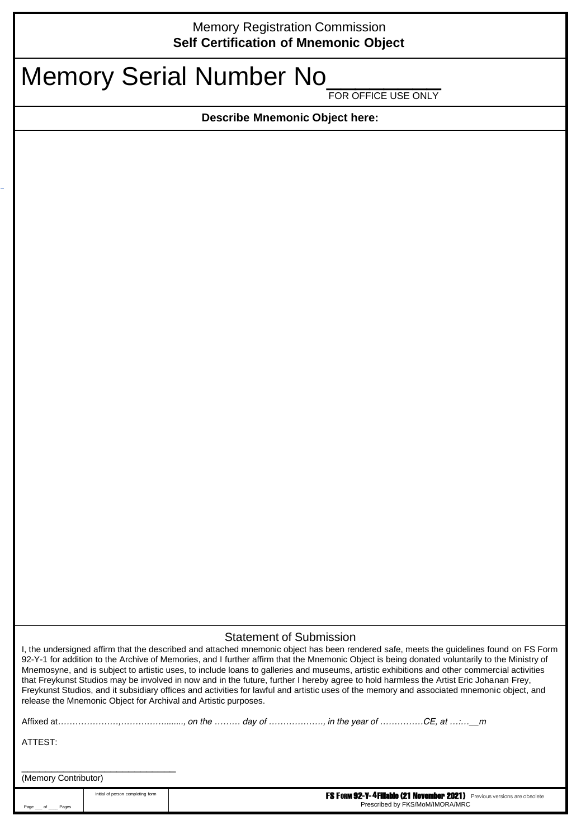### Memory Registration Commission **Self Certification of Mnemonic Object**

## Memory Serial Number No

FOR OFFICE USE ONLY

**Describe Mnemonic Object here:**

#### Statement of Submission

I, the undersigned affirm that the described and attached mnemonic object has been rendered safe, meets the guidelines found on FS Form 92-Y-1 for addition to the Archive of Memories, and I further affirm that the Mnemonic Object is being donated voluntarily to the Ministry of Mnemosyne, and is subject to artistic uses, to include loans to galleries and museums, artistic exhibitions and other commercial activities that Freykunst Studios may be involved in now and in the future, further I hereby agree to hold harmless the Artist Eric Johanan Frey, Freykunst Studios, and it subsidiary offices and activities for lawful and artistic uses of the memory and associated mnemonic object, and release the Mnemonic Object for Archival and Artistic purposes.

|                      | Initial of person completing form |  | FS FORM 92-Y-4 Fillable (21 November 2021) Previous versions are obsolete |  |
|----------------------|-----------------------------------|--|---------------------------------------------------------------------------|--|
| (Memory Contributor) |                                   |  |                                                                           |  |
| ATTEST:              |                                   |  |                                                                           |  |
|                      |                                   |  |                                                                           |  |
|                      |                                   |  |                                                                           |  |

Prescribed by FKS/MoM/IMORA/MRC

 $of$   $P^2$